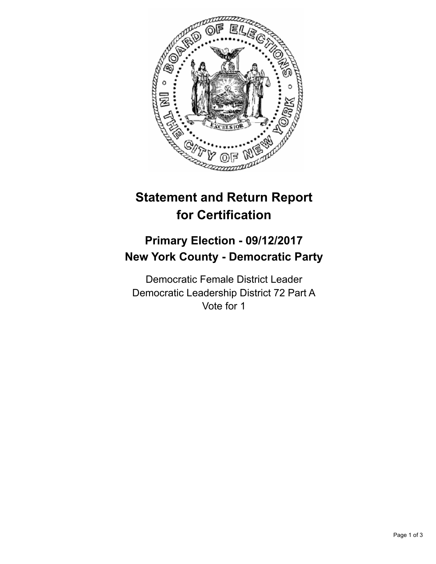

## **Statement and Return Report for Certification**

## **Primary Election - 09/12/2017 New York County - Democratic Party**

Democratic Female District Leader Democratic Leadership District 72 Part A Vote for 1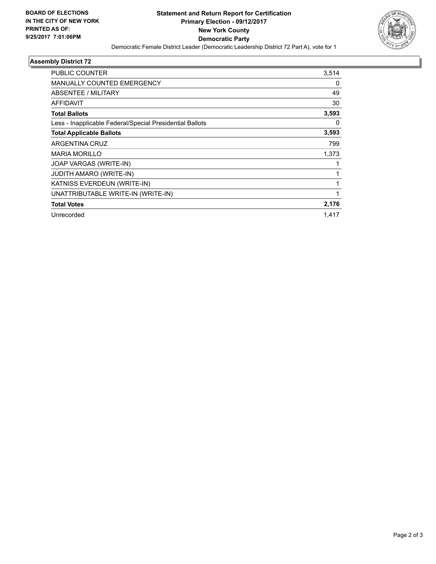

## **Assembly District 72**

| PUBLIC COUNTER                                           | 3,514 |
|----------------------------------------------------------|-------|
| <b>MANUALLY COUNTED EMERGENCY</b>                        | 0     |
| ABSENTEE / MILITARY                                      | 49    |
| <b>AFFIDAVIT</b>                                         | 30    |
| <b>Total Ballots</b>                                     | 3,593 |
| Less - Inapplicable Federal/Special Presidential Ballots | 0     |
| <b>Total Applicable Ballots</b>                          | 3,593 |
| ARGENTINA CRUZ                                           | 799   |
| <b>MARIA MORILLO</b>                                     | 1,373 |
| JOAP VARGAS (WRITE-IN)                                   | 1     |
| <b>JUDITH AMARO (WRITE-IN)</b>                           | 1     |
| KATNISS EVERDEUN (WRITE-IN)                              | 1     |
| UNATTRIBUTABLE WRITE-IN (WRITE-IN)                       | 1     |
| <b>Total Votes</b>                                       | 2,176 |
| Unrecorded                                               | 1,417 |